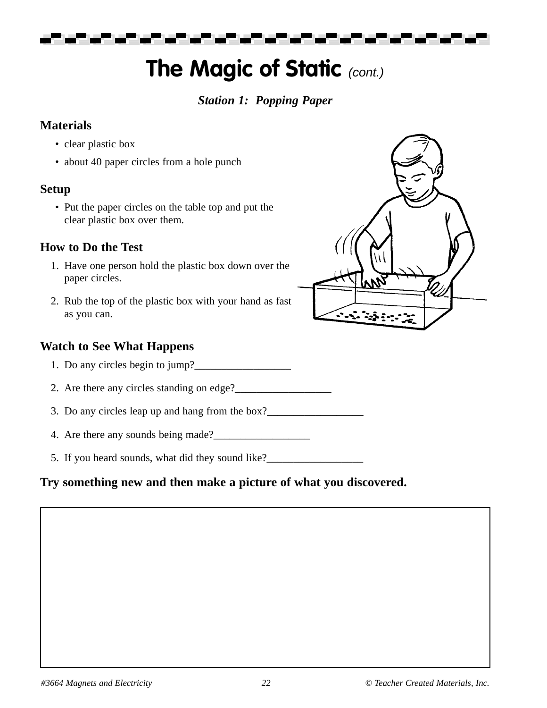▄▀

# **The Magic of Static (cont.)**

## *Station 1: Popping Paper*

#### **Materials**

- clear plastic box
- about 40 paper circles from a hole punch

## **Setup**

• Put the paper circles on the table top and put the clear plastic box over them.

# **How to Do the Test**

- 1. Have one person hold the plastic box down over the paper circles.
- 2. Rub the top of the plastic box with your hand as fast as you can.

## **Watch to See What Happens**

- 1. Do any circles begin to jump?
- 2. Are there any circles standing on edge?
- 3. Do any circles leap up and hang from the box?
- 4. Are there any sounds being made?
- 5. If you heard sounds, what did they sound like?<br>
<u>Letting</u>

# **Try something new and then make a picture of what you discovered.**

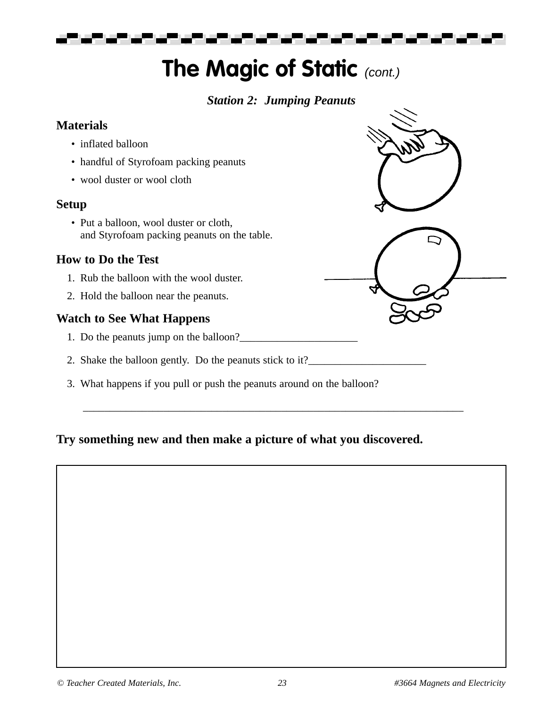# **The Magic of Static (cont.)**

## *Station 2: Jumping Peanuts*

#### **Materials**

- inflated balloon
- handful of Styrofoam packing peanuts
- wool duster or wool cloth

#### **Setup**

• Put a balloon, wool duster or cloth, and Styrofoam packing peanuts on the table.

#### **How to Do the Test**

- 1. Rub the balloon with the wool duster.
- 2. Hold the balloon near the peanuts.

## **Watch to See What Happens**

- 1. Do the peanuts jump on the balloon?\_\_\_\_\_\_\_\_\_\_\_\_\_\_\_\_\_\_\_\_\_\_
- 2. Shake the balloon gently. Do the peanuts stick to it?\_\_\_\_\_\_\_\_\_\_\_\_\_\_\_\_\_\_\_\_\_\_\_\_\_
- 3. What happens if you pull or push the peanuts around on the balloon?

## **Try something new and then make a picture of what you discovered.**

\_\_\_\_\_\_\_\_\_\_\_\_\_\_\_\_\_\_\_\_\_\_\_\_\_\_\_\_\_\_\_\_\_\_\_\_\_\_\_\_\_\_\_\_\_\_\_\_\_\_\_\_\_\_\_\_\_\_\_\_\_\_\_\_\_\_\_\_\_\_\_

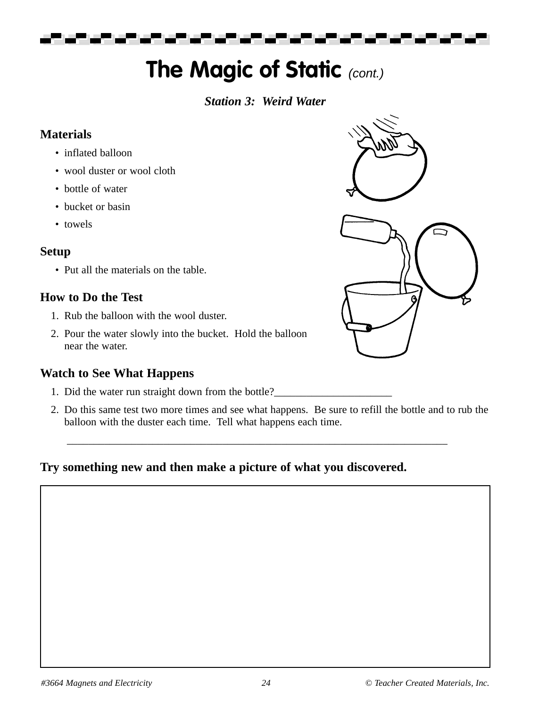---

# **The Magic of Static (cont.)**

#### *Station 3: Weird Water*

## **Materials**

- inflated balloon
- wool duster or wool cloth
- bottle of water
- bucket or basin
- towels

# **Setup**

• Put all the materials on the table.

# **How to Do the Test**

- 1. Rub the balloon with the wool duster.
- 2. Pour the water slowly into the bucket. Hold the balloon near the water.

## **Watch to See What Happens**

- 1. Did the water run straight down from the bottle?
- 2. Do this same test two more times and see what happens. Be sure to refill the bottle and to rub the balloon with the duster each time. Tell what happens each time.

\_\_\_\_\_\_\_\_\_\_\_\_\_\_\_\_\_\_\_\_\_\_\_\_\_\_\_\_\_\_\_\_\_\_\_\_\_\_\_\_\_\_\_\_\_\_\_\_\_\_\_\_\_\_\_\_\_\_\_\_\_\_\_\_\_\_\_\_\_\_\_

# **Try something new and then make a picture of what you discovered.**

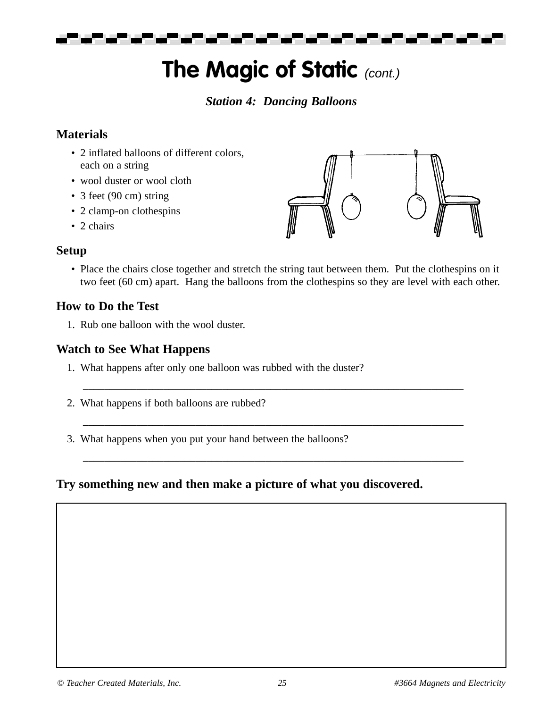a sa san an san san san san san s

# **The Magic of Static (cont.)**

#### *Station 4: Dancing Balloons*

#### **Materials**

- 2 inflated balloons of different colors, each on a string
- wool duster or wool cloth
- 3 feet (90 cm) string
- 2 clamp-on clothespins
- 2 chairs

#### **Setup**

• Place the chairs close together and stretch the string taut between them. Put the clothespins on it two feet (60 cm) apart. Hang the balloons from the clothespins so they are level with each other.

\_\_\_\_\_\_\_\_\_\_\_\_\_\_\_\_\_\_\_\_\_\_\_\_\_\_\_\_\_\_\_\_\_\_\_\_\_\_\_\_\_\_\_\_\_\_\_\_\_\_\_\_\_\_\_\_\_\_\_\_\_\_\_\_\_\_\_\_\_\_\_

\_\_\_\_\_\_\_\_\_\_\_\_\_\_\_\_\_\_\_\_\_\_\_\_\_\_\_\_\_\_\_\_\_\_\_\_\_\_\_\_\_\_\_\_\_\_\_\_\_\_\_\_\_\_\_\_\_\_\_\_\_\_\_\_\_\_\_\_\_\_\_

\_\_\_\_\_\_\_\_\_\_\_\_\_\_\_\_\_\_\_\_\_\_\_\_\_\_\_\_\_\_\_\_\_\_\_\_\_\_\_\_\_\_\_\_\_\_\_\_\_\_\_\_\_\_\_\_\_\_\_\_\_\_\_\_\_\_\_\_\_\_\_

#### **How to Do the Test**

1. Rub one balloon with the wool duster.

#### **Watch to See What Happens**

- 1. What happens after only one balloon was rubbed with the duster?
- 2. What happens if both balloons are rubbed?
- 3. What happens when you put your hand between the balloons?

#### **Try something new and then make a picture of what you discovered.**